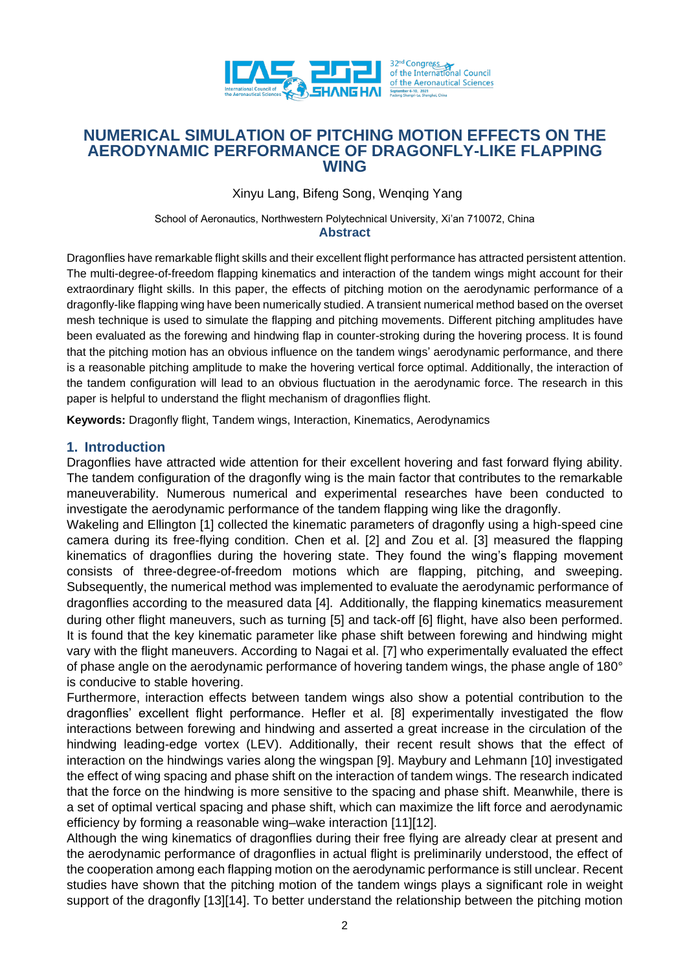

# **NUMERICAL SIMULATION OF PITCHING MOTION EFFECTS ON THE AERODYNAMIC PERFORMANCE OF DRAGONFLY-LIKE FLAPPING WING**

Xinyu Lang, Bifeng Song, Wenqing Yang

School of Aeronautics, Northwestern Polytechnical University, Xi'an 710072, China **Abstract**

Dragonflies have remarkable flight skills and their excellent flight performance has attracted persistent attention. The multi-degree-of-freedom flapping kinematics and interaction of the tandem wings might account for their extraordinary flight skills. In this paper, the effects of pitching motion on the aerodynamic performance of a dragonfly-like flapping wing have been numerically studied. A transient numerical method based on the overset mesh technique is used to simulate the flapping and pitching movements. Different pitching amplitudes have been evaluated as the forewing and hindwing flap in counter-stroking during the hovering process. It is found that the pitching motion has an obvious influence on the tandem wings' aerodynamic performance, and there is a reasonable pitching amplitude to make the hovering vertical force optimal. Additionally, the interaction of the tandem configuration will lead to an obvious fluctuation in the aerodynamic force. The research in this paper is helpful to understand the flight mechanism of dragonflies flight.

**Keywords:** Dragonfly flight, Tandem wings, Interaction, Kinematics, Aerodynamics

#### **1. Introduction**

Dragonflies have attracted wide attention for their excellent hovering and fast forward flying ability. The tandem configuration of the dragonfly wing is the main factor that contributes to the remarkable maneuverability. Numerous numerical and experimental researches have been conducted to investigate the aerodynamic performance of the tandem flapping wing like the dragonfly.

Wakeling and Ellington [\[1\]](#page-8-0) collected the kinematic parameters of dragonfly using a high-speed cine camera during its free-flying condition. Chen et al. [\[2\]](#page-8-1) and Zou et al. [\[3\]](#page-8-2) measured the flapping kinematics of dragonflies during the hovering state. They found the wing's flapping movement consists of three-degree-of-freedom motions which are flapping, pitching, and sweeping. Subsequently, the numerical method was implemented to evaluate the aerodynamic performance of dragonflies according to the measured data [\[4\]](#page-8-3). Additionally, the flapping kinematics measurement during other flight maneuvers, such as turning [\[5\]](#page-8-4) and tack-off [\[6\]](#page-8-5) flight, have also been performed. It is found that the key kinematic parameter like phase shift between forewing and hindwing might vary with the flight maneuvers. According to Nagai et al. [\[7\]](#page-8-6) who experimentally evaluated the effect of phase angle on the aerodynamic performance of hovering tandem wings, the phase angle of 180° is conducive to stable hovering.

Furthermore, interaction effects between tandem wings also show a potential contribution to the dragonflies' excellent flight performance. Hefler et al. [\[8\]](#page-8-7) experimentally investigated the flow interactions between forewing and hindwing and asserted a great increase in the circulation of the hindwing leading-edge vortex (LEV). Additionally, their recent result shows that the effect of interaction on the hindwings varies along the wingspan [\[9\].](#page-8-8) Maybury and Lehmann [\[10\]](#page-8-9) investigated the effect of wing spacing and phase shift on the interaction of tandem wings. The research indicated that the force on the hindwing is more sensitive to the spacing and phase shift. Meanwhile, there is a set of optimal vertical spacing and phase shift, which can maximize the lift force and aerodynamic efficiency by forming a reasonable wing–wake interaction [\[11\]\[12\].](#page-8-10)

Although the wing kinematics of dragonflies during their free flying are already clear at present and the aerodynamic performance of dragonflies in actual flight is preliminarily understood, the effect of the cooperation among each flapping motion on the aerodynamic performance is still unclear. Recent studies have shown that the pitching motion of the tandem wings plays a significant role in weight support of the dragonfly [\[13\]\[14\].](#page-8-11) To better understand the relationship between the pitching motion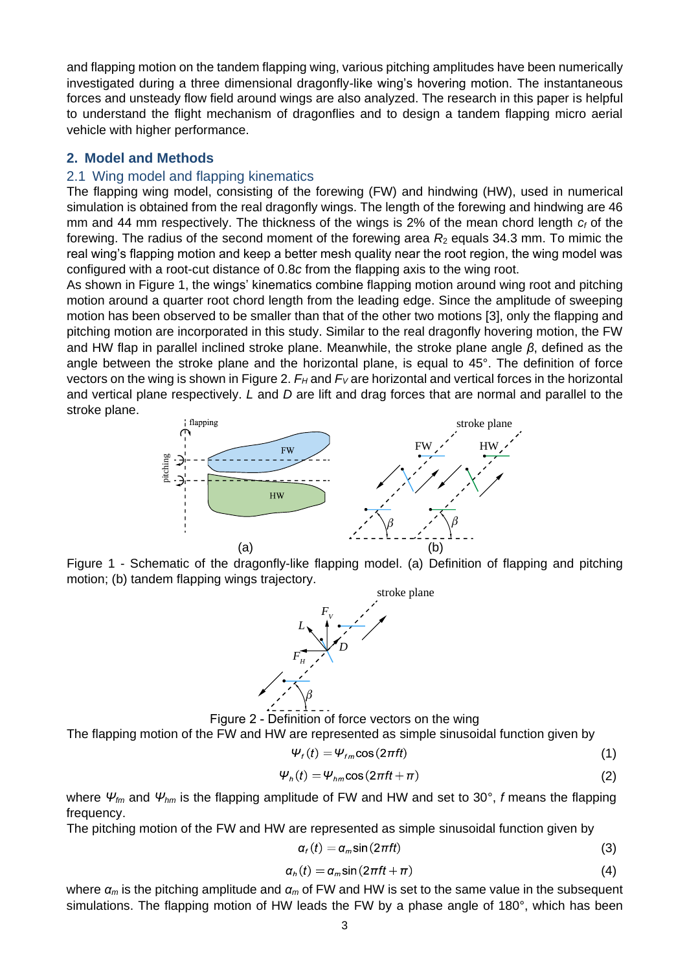and flapping motion on the tandem flapping wing, various pitching amplitudes have been numerically investigated during a three dimensional dragonfly-like wing's hovering motion. The instantaneous forces and unsteady flow field around wings are also analyzed. The research in this paper is helpful to understand the flight mechanism of dragonflies and to design a tandem flapping micro aerial vehicle with higher performance.

## **2. Model and Methods**

### 2.1 Wing model and flapping kinematics

The flapping wing model, consisting of the forewing (FW) and hindwing (HW), used in numerical simulation is obtained from the real dragonfly wings. The length of the forewing and hindwing are 46 mm and 44 mm respectively. The thickness of the wings is 2% of the mean chord length *c<sup>f</sup>* of the forewing. The radius of the second moment of the forewing area  $R_2$  equals 34.3 mm. To mimic the real wing's flapping motion and keep a better mesh quality near the root region, the wing model was configured with a root-cut distance of 0.8*c* from the flapping axis to the wing root.

As shown in [Figure 1](#page-1-0), the wings' kinematics combine flapping motion around wing root and pitching motion around a quarter root chord length from the leading edge. Since the amplitude of sweeping motion has been observed to be smaller than that of the other two motions [\[3\],](#page-8-2) only the flapping and pitching motion are incorporated in this study. Similar to the real dragonfly hovering motion, the FW and HW flap in parallel inclined stroke plane. Meanwhile, the stroke plane angle *β*, defined as the angle between the stroke plane and the horizontal plane, is equal to 45°. The definition of force vectors on the wing is shown in [Figure 2](#page-1-1). *F<sup>H</sup>* and *F<sup>V</sup>* are horizontal and vertical forces in the horizontal and vertical plane respectively. *L* and *D* are lift and drag forces that are normal and parallel to the stroke plane.



<span id="page-1-0"></span>Figure 1 - Schematic of the dragonfly-like flapping model. (a) Definition of flapping and pitching motion; (b) tandem flapping wings trajectory.



Figure 2 - Definition of force vectors on the wing

<span id="page-1-1"></span>The flapping motion of the FW and HW are represented as simple sinusoidal function given by

$$
\Psi_{f}(t) = \Psi_{fm} \cos(2\pi ft) \tag{1}
$$

$$
\Psi_h(t) = \Psi_{hm} \cos(2\pi ft + \pi) \tag{2}
$$

where *Ψfm* and *Ψhm* is the flapping amplitude of FW and HW and set to 30°, *f* means the flapping frequency.

The pitching motion of the FW and HW are represented as simple sinusoidal function given by

$$
\alpha_f(t) = \alpha_m \sin(2\pi ft) \tag{3}
$$

$$
\alpha_h(t) = \alpha_m \sin(2\pi ft + \pi) \tag{4}
$$

where *α<sup>m</sup>* is the pitching amplitude and *α<sup>m</sup>* of FW and HW is set to the same value in the subsequent simulations. The flapping motion of HW leads the FW by a phase angle of 180°, which has been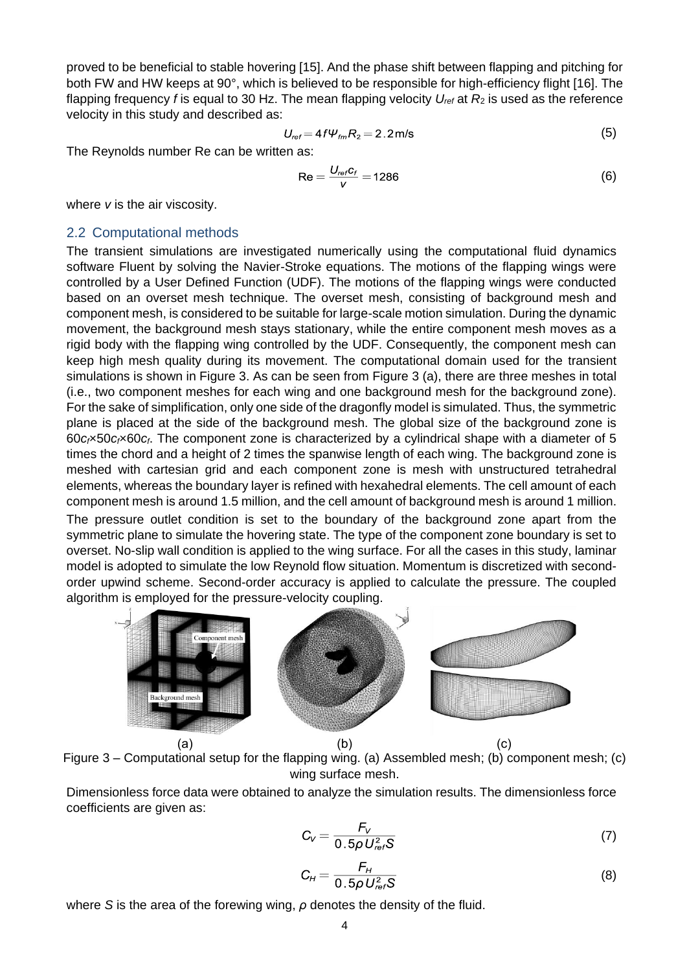proved to be beneficial to stable hovering [\[15\].](#page-8-12) And the phase shift between flapping and pitching for both FW and HW keeps at 90°, which is believed to be responsible for high-efficiency flight [\[16\].](#page-8-13) The flapping frequency *f* is equal to 30 Hz. The mean flapping velocity  $U_{ref}$  at  $R_2$  is used as the reference velocity in this study and described as:

$$
U_{ref} = 4f\Psi_{tm}R_2 = 2.2 \,\text{m/s}
$$
\n<sup>(5)</sup>

The Reynolds number Re can be written as:

$$
\text{Re} = \frac{U_{ref}c_f}{V} = 1286\tag{6}
$$

where *v* is the air viscosity.

#### <span id="page-2-1"></span>2.2 Computational methods

The transient simulations are investigated numerically using the computational fluid dynamics software Fluent by solving the Navier-Stroke equations. The motions of the flapping wings were controlled by a User Defined Function (UDF). The motions of the flapping wings were conducted based on an overset mesh technique. The overset mesh, consisting of background mesh and component mesh, is considered to be suitable for large-scale motion simulation. During the dynamic movement, the background mesh stays stationary, while the entire component mesh moves as a rigid body with the flapping wing controlled by the UDF. Consequently, the component mesh can keep high mesh quality during its movement. The computational domain used for the transient simulations is shown in [Figure 3.](#page-2-0) As can be seen from [Figure 3](#page-2-0) (a), there are three meshes in total (i.e., two component meshes for each wing and one background mesh for the background zone). For the sake of simplification, only one side of the dragonfly model is simulated. Thus, the symmetric plane is placed at the side of the background mesh. The global size of the background zone is 60*cf*×50*cf*×60*cf*. The component zone is characterized by a cylindrical shape with a diameter of 5 times the chord and a height of 2 times the spanwise length of each wing. The background zone is meshed with cartesian grid and each component zone is mesh with unstructured tetrahedral elements, whereas the boundary layer is refined with hexahedral elements. The cell amount of each component mesh is around 1.5 million, and the cell amount of background mesh is around 1 million. The pressure outlet condition is set to the boundary of the background zone apart from the symmetric plane to simulate the hovering state. The type of the component zone boundary is set to overset. No-slip wall condition is applied to the wing surface. For all the cases in this study, laminar model is adopted to simulate the low Reynold flow situation. Momentum is discretized with secondorder upwind scheme. Second-order accuracy is applied to calculate the pressure. The coupled

algorithm is employed for the pressure-velocity coupling.



<span id="page-2-0"></span>Figure 3 – Computational setup for the flapping wing. (a) Assembled mesh; (b) component mesh; (c) wing surface mesh.

Dimensionless force data were obtained to analyze the simulation results. The dimensionless force coefficients are given as:

$$
C_V = \frac{F_V}{0.5\rho U_{ref}^2 S}
$$
 (7)

$$
C_H = \frac{F_H}{0.5\rho U_{ref}^2 S}
$$
 (8)

where *S* is the area of the forewing wing, *ρ* denotes the density of the fluid.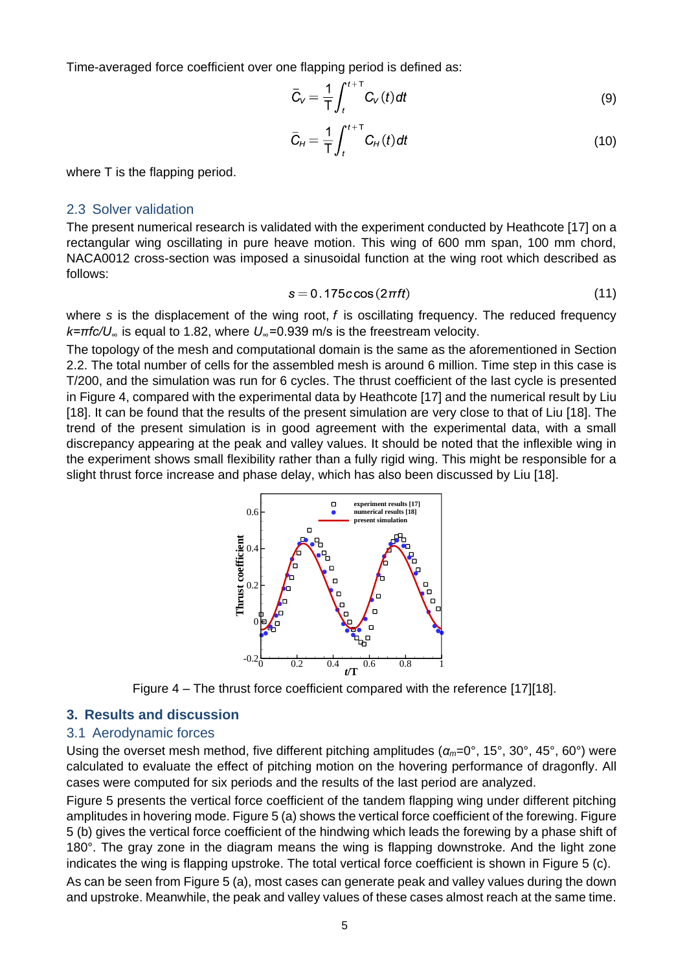Time-averaged force coefficient over one flapping period is defined as:

$$
\overline{C}_V = \frac{1}{T} \int_t^{t+T} C_V(t) dt
$$
\n(9)

$$
\bar{C}_H = \frac{1}{T} \int_t^{t+T} C_H(t) dt
$$
\n(10)

where T is the flapping period.

#### 2.3 Solver validation

The present numerical research is validated with the experiment conducted by Heathcote [\[17\]](#page-8-14) on a rectangular wing oscillating in pure heave motion. This wing of 600 mm span, 100 mm chord, NACA0012 cross-section was imposed a sinusoidal function at the wing root which described as follows:

$$
s = 0.175c\cos(2\pi ft) \tag{11}
$$

where *s* is the displacement of the wing root, *f* is oscillating frequency. The reduced frequency *k=πfc/U<sup>∞</sup>* is equal to 1.82, where *U∞*=0.939 m/s is the freestream velocity.

The topology of the mesh and computational domain is the same as the aforementioned in Section [2.2.](#page-2-1) The total number of cells for the assembled mesh is around 6 million. Time step in this case is T/200, and the simulation was run for 6 cycles. The thrust coefficient of the last cycle is presented in [Figure 4,](#page-3-0) compared with the experimental data by Heathcote [\[17\]](#page-8-14) and the numerical result by Liu [\[18\].](#page-8-15) It can be found that the results of the present simulation are very close to that of Liu [\[18\].](#page-8-15) The trend of the present simulation is in good agreement with the experimental data, with a small discrepancy appearing at the peak and valley values. It should be noted that the inflexible wing in the experiment shows small flexibility rather than a fully rigid wing. This might be responsible for a slight thrust force increase and phase delay, which has also been discussed by Liu [\[18\].](#page-8-15)



Figure 4 – The thrust force coefficient compared with the reference [\[17\]\[18\].](#page-8-16)

#### <span id="page-3-0"></span>**3. Results and discussion**

#### 3.1 Aerodynamic forces

Using the overset mesh method, five different pitching amplitudes (*αm*=0°, 15°, 30°, 45°, 60°) were calculated to evaluate the effect of pitching motion on the hovering performance of dragonfly. All cases were computed for six periods and the results of the last period are analyzed.

[Figure 5](#page-4-0) presents the vertical force coefficient of the tandem flapping wing under different pitching amplitudes in hovering mode. [Figure 5](#page-4-0) (a) shows the vertical force coefficient of the forewing. [Figure](#page-4-0)  [5](#page-4-0) (b) gives the vertical force coefficient of the hindwing which leads the forewing by a phase shift of 180°. The gray zone in the diagram means the wing is flapping downstroke. And the light zone indicates the wing is flapping upstroke. The total vertical force coefficient is shown in [Figure 5](#page-4-0) (c).

As can be seen from [Figure 5](#page-4-0) (a), most cases can generate peak and valley values during the down and upstroke. Meanwhile, the peak and valley values of these cases almost reach at the same time.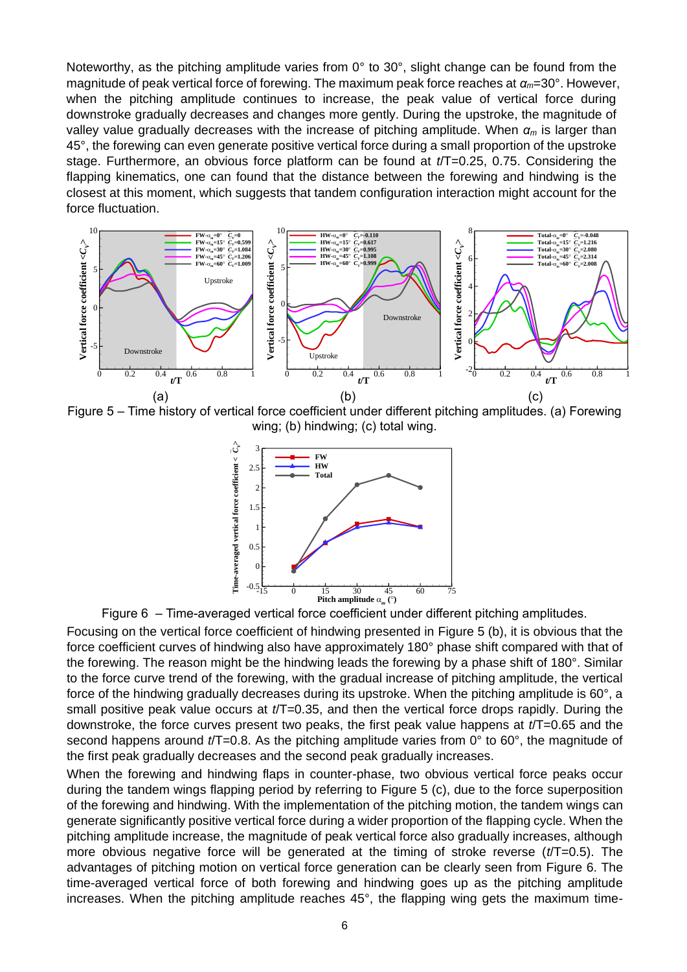Noteworthy, as the pitching amplitude varies from  $0^{\circ}$  to  $30^{\circ}$ , slight change can be found from the magnitude of peak vertical force of forewing. The maximum peak force reaches at *αm*=30°. However, when the pitching amplitude continues to increase, the peak value of vertical force during downstroke gradually decreases and changes more gently. During the upstroke, the magnitude of valley value gradually decreases with the increase of pitching amplitude. When *α<sup>m</sup>* is larger than 45°, the forewing can even generate positive vertical force during a small proportion of the upstroke stage. Furthermore, an obvious force platform can be found at *t*/T=0.25, 0.75. Considering the flapping kinematics, one can found that the distance between the forewing and hindwing is the closest at this moment, which suggests that tandem configuration interaction might account for the force fluctuation.



<span id="page-4-0"></span>Figure 5 – Time history of vertical force coefficient under different pitching amplitudes. (a) Forewing wing; (b) hindwing; (c) total wing.



Figure 6 – Time-averaged vertical force coefficient under different pitching amplitudes.

<span id="page-4-1"></span>Focusing on the vertical force coefficient of hindwing presented in [Figure 5](#page-4-0) (b), it is obvious that the force coefficient curves of hindwing also have approximately 180° phase shift compared with that of the forewing. The reason might be the hindwing leads the forewing by a phase shift of 180°. Similar to the force curve trend of the forewing, with the gradual increase of pitching amplitude, the vertical force of the hindwing gradually decreases during its upstroke. When the pitching amplitude is  $60^\circ$ , a small positive peak value occurs at *t*/T=0.35, and then the vertical force drops rapidly. During the downstroke, the force curves present two peaks, the first peak value happens at *t*/T=0.65 and the second happens around *t*/T=0.8. As the pitching amplitude varies from 0° to 60°, the magnitude of the first peak gradually decreases and the second peak gradually increases.

When the forewing and hindwing flaps in counter-phase, two obvious vertical force peaks occur during the tandem wings flapping period by referring to [Figure 5](#page-4-0) (c), due to the force superposition of the forewing and hindwing. With the implementation of the pitching motion, the tandem wings can generate significantly positive vertical force during a wider proportion of the flapping cycle. When the pitching amplitude increase, the magnitude of peak vertical force also gradually increases, although more obvious negative force will be generated at the timing of stroke reverse (*t*/T=0.5). The advantages of pitching motion on vertical force generation can be clearly seen from [Figure 6.](#page-4-1) The time-averaged vertical force of both forewing and hindwing goes up as the pitching amplitude increases. When the pitching amplitude reaches 45°, the flapping wing gets the maximum time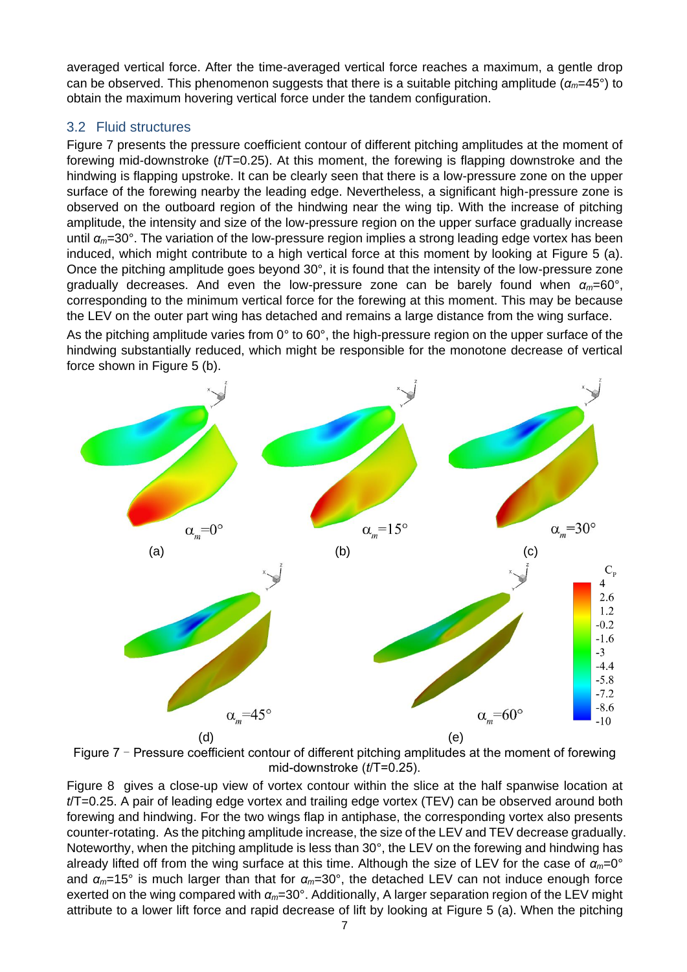averaged vertical force. After the time-averaged vertical force reaches a maximum, a gentle drop can be observed. This phenomenon suggests that there is a suitable pitching amplitude (*αm*=45°) to obtain the maximum hovering vertical force under the tandem configuration.

# 3.2 Fluid structures

[Figure 7](#page-5-0) presents the pressure coefficient contour of different pitching amplitudes at the moment of forewing mid-downstroke (*t*/T=0.25). At this moment, the forewing is flapping downstroke and the hindwing is flapping upstroke. It can be clearly seen that there is a low-pressure zone on the upper surface of the forewing nearby the leading edge. Nevertheless, a significant high-pressure zone is observed on the outboard region of the hindwing near the wing tip. With the increase of pitching amplitude, the intensity and size of the low-pressure region on the upper surface gradually increase until *αm*=30°. The variation of the low-pressure region implies a strong leading edge vortex has been induced, which might contribute to a high vertical force at this moment by looking at [Figure 5](#page-4-0) (a). Once the pitching amplitude goes beyond 30°, it is found that the intensity of the low-pressure zone gradually decreases. And even the low-pressure zone can be barely found when *αm*=60°, corresponding to the minimum vertical force for the forewing at this moment. This may be because the LEV on the outer part wing has detached and remains a large distance from the wing surface.

As the pitching amplitude varies from 0° to 60°, the high-pressure region on the upper surface of the hindwing substantially reduced, which might be responsible for the monotone decrease of vertical force shown in [Figure 5](#page-4-0) (b).



<span id="page-5-0"></span>Figure  $7$  – Pressure coefficient contour of different pitching amplitudes at the moment of forewing mid-downstroke (*t*/T=0.25).

[Figure 8](#page-6-0) gives a close-up view of vortex contour within the slice at the half spanwise location at *t*/T=0.25. A pair of leading edge vortex and trailing edge vortex (TEV) can be observed around both forewing and hindwing. For the two wings flap in antiphase, the corresponding vortex also presents counter-rotating. As the pitching amplitude increase, the size of the LEV and TEV decrease gradually. Noteworthy, when the pitching amplitude is less than 30°, the LEV on the forewing and hindwing has already lifted off from the wing surface at this time. Although the size of LEV for the case of *αm*=0° and *αm*=15° is much larger than that for *αm*=30°, the detached LEV can not induce enough force exerted on the wing compared with *αm*=30°. Additionally, A larger separation region of the LEV might attribute to a lower lift force and rapid decrease of lift by looking at [Figure 5](#page-4-0) (a). When the pitching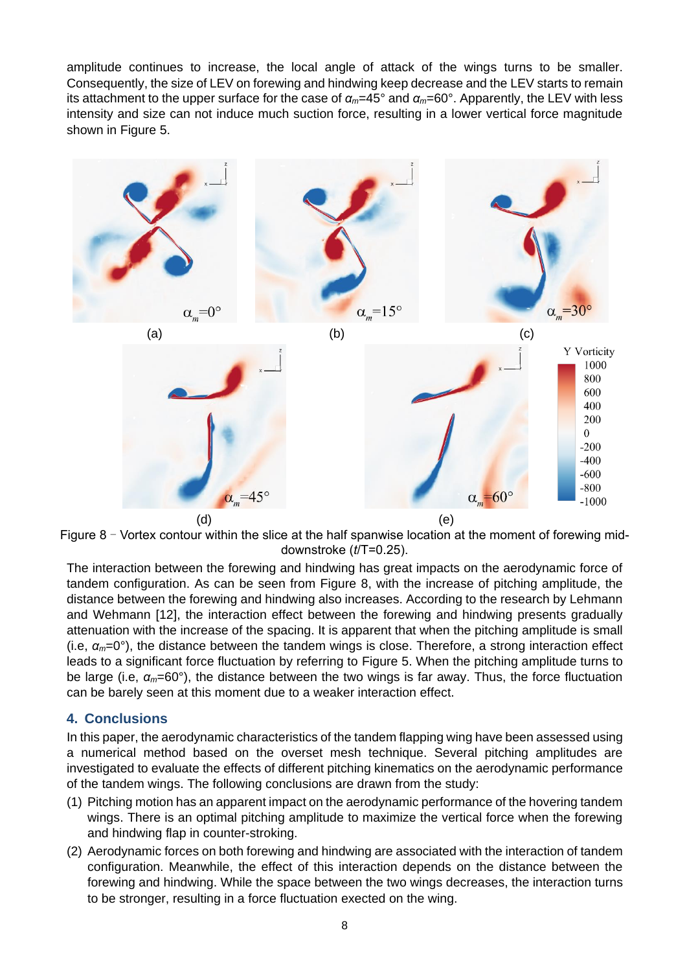amplitude continues to increase, the local angle of attack of the wings turns to be smaller. Consequently, the size of LEV on forewing and hindwing keep decrease and the LEV starts to remain its attachment to the upper surface for the case of *αm*=45° and *αm*=60°. Apparently, the LEV with less intensity and size can not induce much suction force, resulting in a lower vertical force magnitude shown in [Figure 5](#page-4-0).



<span id="page-6-0"></span>Figure 8 - Vortex contour within the slice at the half spanwise location at the moment of forewing middownstroke (*t*/T=0.25).

The interaction between the forewing and hindwing has great impacts on the aerodynamic force of tandem configuration. As can be seen from [Figure 8](#page-6-0), with the increase of pitching amplitude, the distance between the forewing and hindwing also increases. According to the research by Lehmann and Wehmann [\[12\],](#page-8-17) the interaction effect between the forewing and hindwing presents gradually attenuation with the increase of the spacing. It is apparent that when the pitching amplitude is small (i.e, *αm*=0°), the distance between the tandem wings is close. Therefore, a strong interaction effect leads to a significant force fluctuation by referring to [Figure 5](#page-4-0). When the pitching amplitude turns to be large (i.e, *αm*=60°), the distance between the two wings is far away. Thus, the force fluctuation can be barely seen at this moment due to a weaker interaction effect.

# **4. Conclusions**

In this paper, the aerodynamic characteristics of the tandem flapping wing have been assessed using a numerical method based on the overset mesh technique. Several pitching amplitudes are investigated to evaluate the effects of different pitching kinematics on the aerodynamic performance of the tandem wings. The following conclusions are drawn from the study:

- (1) Pitching motion has an apparent impact on the aerodynamic performance of the hovering tandem wings. There is an optimal pitching amplitude to maximize the vertical force when the forewing and hindwing flap in counter-stroking.
- (2) Aerodynamic forces on both forewing and hindwing are associated with the interaction of tandem configuration. Meanwhile, the effect of this interaction depends on the distance between the forewing and hindwing. While the space between the two wings decreases, the interaction turns to be stronger, resulting in a force fluctuation exected on the wing.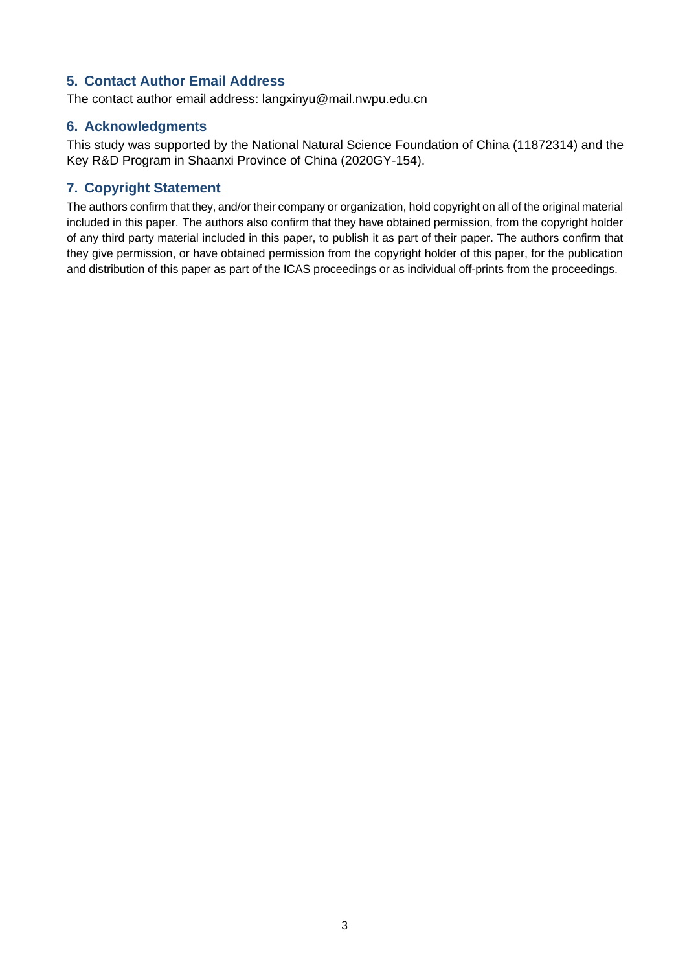# **5. Contact Author Email Address**

The contact author email address: langxinyu@mail.nwpu.edu.cn

## **6. Acknowledgments**

This study was supported by the National Natural Science Foundation of China (11872314) and the Key R&D Program in Shaanxi Province of China (2020GY-154).

# **7. Copyright Statement**

The authors confirm that they, and/or their company or organization, hold copyright on all of the original material included in this paper. The authors also confirm that they have obtained permission, from the copyright holder of any third party material included in this paper, to publish it as part of their paper. The authors confirm that they give permission, or have obtained permission from the copyright holder of this paper, for the publication and distribution of this paper as part of the ICAS proceedings or as individual off-prints from the proceedings.